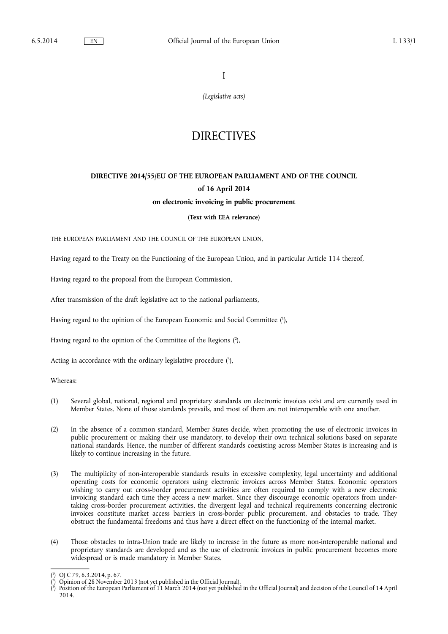I

*(Legislative acts)* 

# **DIRECTIVES**

# **DIRECTIVE 2014/55/EU OF THE EUROPEAN PARLIAMENT AND OF THE COUNCIL of 16 April 2014 on electronic invoicing in public procurement**

# **(Text with EEA relevance)**

THE EUROPEAN PARLIAMENT AND THE COUNCIL OF THE EUROPEAN UNION,

Having regard to the Treaty on the Functioning of the European Union, and in particular Article 114 thereof,

Having regard to the proposal from the European Commission,

After transmission of the draft legislative act to the national parliaments,

Having regard to the opinion of the European Economic and Social Committee ( 1 ),

Having regard to the opinion of the Committee of the Regions ( 2 ),

Acting in accordance with the ordinary legislative procedure (3),

Whereas:

- (1) Several global, national, regional and proprietary standards on electronic invoices exist and are currently used in Member States. None of those standards prevails, and most of them are not interoperable with one another.
- (2) In the absence of a common standard, Member States decide, when promoting the use of electronic invoices in public procurement or making their use mandatory, to develop their own technical solutions based on separate national standards. Hence, the number of different standards coexisting across Member States is increasing and is likely to continue increasing in the future.
- (3) The multiplicity of non-interoperable standards results in excessive complexity, legal uncertainty and additional operating costs for economic operators using electronic invoices across Member States. Economic operators wishing to carry out cross-border procurement activities are often required to comply with a new electronic invoicing standard each time they access a new market. Since they discourage economic operators from undertaking cross-border procurement activities, the divergent legal and technical requirements concerning electronic invoices constitute market access barriers in cross-border public procurement, and obstacles to trade. They obstruct the fundamental freedoms and thus have a direct effect on the functioning of the internal market.
- (4) Those obstacles to intra-Union trade are likely to increase in the future as more non-interoperable national and proprietary standards are developed and as the use of electronic invoices in public procurement becomes more widespread or is made mandatory in Member States.

<sup>(</sup> 1 ) OJ C 79, 6.3.2014, p. 67.

<sup>(</sup> 2 ) Opinion of 28 November 2013 (not yet published in the Official Journal).

<sup>(</sup> 3 ) Position of the European Parliament of 11 March 2014 (not yet published in the Official Journal) and decision of the Council of 14 April 2014.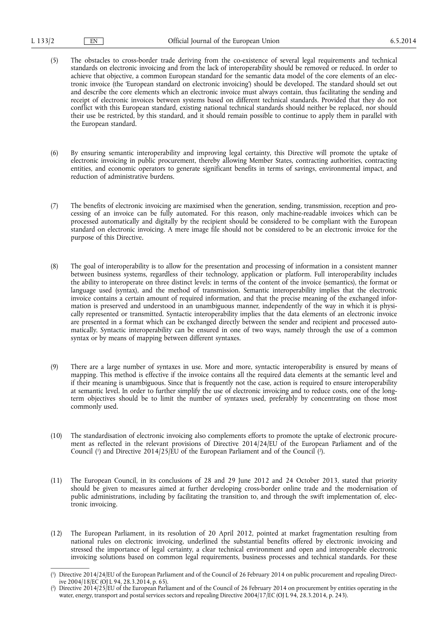- (5) The obstacles to cross-border trade deriving from the co-existence of several legal requirements and technical standards on electronic invoicing and from the lack of interoperability should be removed or reduced. In order to achieve that objective, a common European standard for the semantic data model of the core elements of an electronic invoice (the 'European standard on electronic invoicing') should be developed. The standard should set out and describe the core elements which an electronic invoice must always contain, thus facilitating the sending and receipt of electronic invoices between systems based on different technical standards. Provided that they do not conflict with this European standard, existing national technical standards should neither be replaced, nor should their use be restricted, by this standard, and it should remain possible to continue to apply them in parallel with the European standard.
- (6) By ensuring semantic interoperability and improving legal certainty, this Directive will promote the uptake of electronic invoicing in public procurement, thereby allowing Member States, contracting authorities, contracting entities, and economic operators to generate significant benefits in terms of savings, environmental impact, and reduction of administrative burdens.
- (7) The benefits of electronic invoicing are maximised when the generation, sending, transmission, reception and processing of an invoice can be fully automated. For this reason, only machine-readable invoices which can be processed automatically and digitally by the recipient should be considered to be compliant with the European standard on electronic invoicing. A mere image file should not be considered to be an electronic invoice for the purpose of this Directive.
- (8) The goal of interoperability is to allow for the presentation and processing of information in a consistent manner between business systems, regardless of their technology, application or platform. Full interoperability includes the ability to interoperate on three distinct levels: in terms of the content of the invoice (semantics), the format or language used (syntax), and the method of transmission. Semantic interoperability implies that the electronic invoice contains a certain amount of required information, and that the precise meaning of the exchanged information is preserved and understood in an unambiguous manner, independently of the way in which it is physically represented or transmitted. Syntactic interoperability implies that the data elements of an electronic invoice are presented in a format which can be exchanged directly between the sender and recipient and processed automatically. Syntactic interoperability can be ensured in one of two ways, namely through the use of a common syntax or by means of mapping between different syntaxes.
- (9) There are a large number of syntaxes in use. More and more, syntactic interoperability is ensured by means of mapping. This method is effective if the invoice contains all the required data elements at the semantic level and if their meaning is unambiguous. Since that is frequently not the case, action is required to ensure interoperability at semantic level. In order to further simplify the use of electronic invoicing and to reduce costs, one of the longterm objectives should be to limit the number of syntaxes used, preferably by concentrating on those most commonly used.
- (10) The standardisation of electronic invoicing also complements efforts to promote the uptake of electronic procurement as reflected in the relevant provisions of Directive 2014/24/EU of the European Parliament and of the Council (<sup>1</sup>) and Directive 2014/25/EU of the European Parliament and of the Council (<sup>2</sup>).
- (11) The European Council, in its conclusions of 28 and 29 June 2012 and 24 October 2013, stated that priority should be given to measures aimed at further developing cross-border online trade and the modernisation of public administrations, including by facilitating the transition to, and through the swift implementation of, electronic invoicing.
- (12) The European Parliament, in its resolution of 20 April 2012, pointed at market fragmentation resulting from national rules on electronic invoicing, underlined the substantial benefits offered by electronic invoicing and stressed the importance of legal certainty, a clear technical environment and open and interoperable electronic invoicing solutions based on common legal requirements, business processes and technical standards. For these

<sup>(</sup> 1 ) Directive 2014/24/EU of the European Parliament and of the Council of 26 February 2014 on public procurement and repealing Directive  $2004/18$ /EC (OJ L 94, 28.3.2014, p. 65).

<sup>(</sup> 2 ) Directive 2014/25/EU of the European Parliament and of the Council of 26 February 2014 on procurement by entities operating in the water, energy, transport and postal services sectors and repealing Directive 2004/17/EC (OJ L 94, 28.3.2014, p. 243).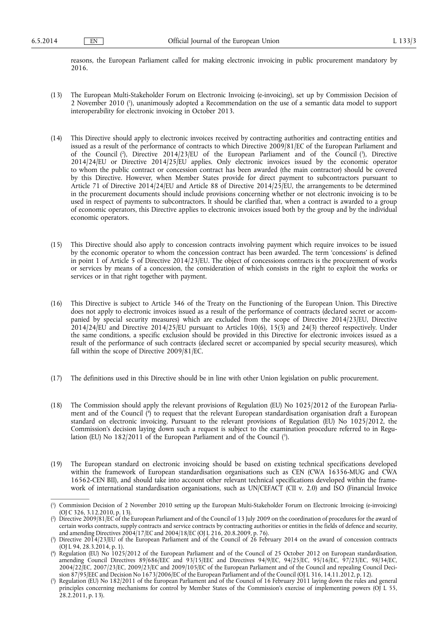reasons, the European Parliament called for making electronic invoicing in public procurement mandatory by 2016.

- (13) The European Multi-Stakeholder Forum on Electronic Invoicing (e-invoicing), set up by Commission Decision of 2 November 2010 ( 1 ), unanimously adopted a Recommendation on the use of a semantic data model to support interoperability for electronic invoicing in October 2013.
- (14) This Directive should apply to electronic invoices received by contracting authorities and contracting entities and issued as a result of the performance of contracts to which Directive 2009/81/EC of the European Parliament and of the Council ( 2 ), Directive 2014/23/EU of the European Parliament and of the Council ( 3 ), Directive 2014/24/EU or Directive 2014/25/EU applies. Only electronic invoices issued by the economic operator to whom the public contract or concession contract has been awarded (the main contractor) should be covered by this Directive. However, when Member States provide for direct payment to subcontractors pursuant to Article 71 of Directive 2014/24/EU and Article 88 of Directive 2014/25/EU, the arrangements to be determined in the procurement documents should include provisions concerning whether or not electronic invoicing is to be used in respect of payments to subcontractors. It should be clarified that, when a contract is awarded to a group of economic operators, this Directive applies to electronic invoices issued both by the group and by the individual economic operators.
- (15) This Directive should also apply to concession contracts involving payment which require invoices to be issued by the economic operator to whom the concession contract has been awarded. The term 'concessions' is defined in point 1 of Article 5 of Directive 2014/23/EU. The object of concessions contracts is the procurement of works or services by means of a concession, the consideration of which consists in the right to exploit the works or services or in that right together with payment.
- (16) This Directive is subject to Article 346 of the Treaty on the Functioning of the European Union. This Directive does not apply to electronic invoices issued as a result of the performance of contracts (declared secret or accompanied by special security measures) which are excluded from the scope of Directive 2014/23/EU, Directive 2014/24/EU and Directive 2014/25/EU pursuant to Articles 10(6), 15(3) and 24(3) thereof respectively. Under the same conditions, a specific exclusion should be provided in this Directive for electronic invoices issued as a result of the performance of such contracts (declared secret or accompanied by special security measures), which fall within the scope of Directive 2009/81/EC.
- (17) The definitions used in this Directive should be in line with other Union legislation on public procurement.
- (18) The Commission should apply the relevant provisions of Regulation (EU) No 1025/2012 of the European Parliament and of the Council ( 4 ) to request that the relevant European standardisation organisation draft a European standard on electronic invoicing. Pursuant to the relevant provisions of Regulation (EU) No 1025/2012, the Commission's decision laying down such a request is subject to the examination procedure referred to in Regulation (EU) No 182/2011 of the European Parliament and of the Council (5).
- (19) The European standard on electronic invoicing should be based on existing technical specifications developed within the framework of European standardisation organisations such as CEN (CWA 16356-MUG and CWA 16562-CEN BII), and should take into account other relevant technical specifications developed within the framework of international standardisation organisations, such as UN/CEFACT (CII v. 2.0) and ISO (Financial Invoice

<sup>(</sup> 1 ) Commission Decision of 2 November 2010 setting up the European Multi-Stakeholder Forum on Electronic Invoicing (e-invoicing) (OJ C 326, 3.12.2010, p. 13).

<sup>(</sup> 2 ) Directive 2009/81/EC of the European Parliament and of the Council of 13 July 2009 on the coordination of procedures for the award of certain works contracts, supply contracts and service contracts by contracting authorities or entities in the fields of defence and security, and amending Directives 2004/17/EC and 2004/18/EC (OJ L 216, 20.8.2009, p. 76).

<sup>(</sup> 3 ) Directive 2014/23/EU of the European Parliament and of the Council of 26 February 2014 on the award of concession contracts (OJ L 94, 28.3.2014, p. 1).

<sup>(</sup> 4 ) Regulation (EU) No 1025/2012 of the European Parliament and of the Council of 25 October 2012 on European standardisation, amending Council Directives 89/686/EEC and 93/15/EEC and Directives 94/9/EC, 94/25/EC, 95/16/EC, 97/23/EC, 98/34/EC, 2004/22/EC, 2007/23/EC, 2009/23/EC and 2009/105/EC of the European Parliament and of the Council and repealing Council Decision 87/95/EEC and Decision No 1673/2006/EC of the European Parliament and of the Council (OJ L 316, 14.11.2012, p. 12).

<sup>(</sup> 5 ) Regulation (EU) No 182/2011 of the European Parliament and of the Council of 16 February 2011 laying down the rules and general principles concerning mechanisms for control by Member States of the Commission's exercise of implementing powers (OJ L 55, 28.2.2011, p. 13).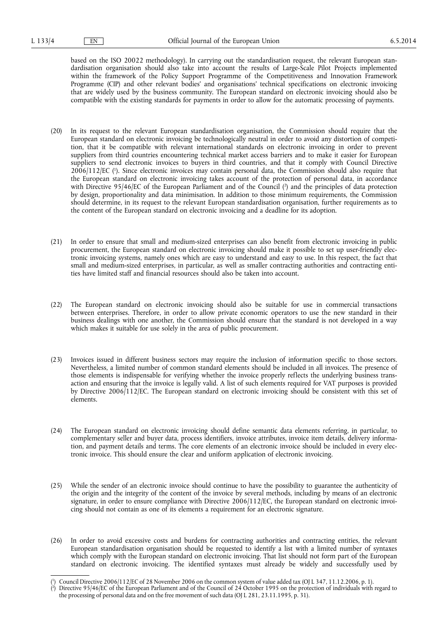based on the ISO 20022 methodology). In carrying out the standardisation request, the relevant European standardisation organisation should also take into account the results of Large-Scale Pilot Projects implemented within the framework of the Policy Support Programme of the Competitiveness and Innovation Framework Programme (CIP) and other relevant bodies' and organisations' technical specifications on electronic invoicing that are widely used by the business community. The European standard on electronic invoicing should also be compatible with the existing standards for payments in order to allow for the automatic processing of payments.

- (20) In its request to the relevant European standardisation organisation, the Commission should require that the European standard on electronic invoicing be technologically neutral in order to avoid any distortion of competition, that it be compatible with relevant international standards on electronic invoicing in order to prevent suppliers from third countries encountering technical market access barriers and to make it easier for European suppliers to send electronic invoices to buyers in third countries, and that it comply with Council Directive 2006/112/EC ( 1 ). Since electronic invoices may contain personal data, the Commission should also require that the European standard on electronic invoicing takes account of the protection of personal data, in accordance with Directive 95/46/EC of the European Parliament and of the Council ( 2 ) and the principles of data protection by design, proportionality and data minimisation. In addition to those minimum requirements, the Commission should determine, in its request to the relevant European standardisation organisation, further requirements as to the content of the European standard on electronic invoicing and a deadline for its adoption.
- (21) In order to ensure that small and medium-sized enterprises can also benefit from electronic invoicing in public procurement, the European standard on electronic invoicing should make it possible to set up user-friendly electronic invoicing systems, namely ones which are easy to understand and easy to use. In this respect, the fact that small and medium-sized enterprises, in particular, as well as smaller contracting authorities and contracting entities have limited staff and financial resources should also be taken into account.
- (22) The European standard on electronic invoicing should also be suitable for use in commercial transactions between enterprises. Therefore, in order to allow private economic operators to use the new standard in their business dealings with one another, the Commission should ensure that the standard is not developed in a way which makes it suitable for use solely in the area of public procurement.
- (23) Invoices issued in different business sectors may require the inclusion of information specific to those sectors. Nevertheless, a limited number of common standard elements should be included in all invoices. The presence of those elements is indispensable for verifying whether the invoice properly reflects the underlying business transaction and ensuring that the invoice is legally valid. A list of such elements required for VAT purposes is provided by Directive 2006/112/EC. The European standard on electronic invoicing should be consistent with this set of elements.
- (24) The European standard on electronic invoicing should define semantic data elements referring, in particular, to complementary seller and buyer data, process identifiers, invoice attributes, invoice item details, delivery information, and payment details and terms. The core elements of an electronic invoice should be included in every electronic invoice. This should ensure the clear and uniform application of electronic invoicing.
- (25) While the sender of an electronic invoice should continue to have the possibility to guarantee the authenticity of the origin and the integrity of the content of the invoice by several methods, including by means of an electronic signature, in order to ensure compliance with Directive 2006/112/EC, the European standard on electronic invoicing should not contain as one of its elements a requirement for an electronic signature.
- (26) In order to avoid excessive costs and burdens for contracting authorities and contracting entities, the relevant European standardisation organisation should be requested to identify a list with a limited number of syntaxes which comply with the European standard on electronic invoicing. That list should not form part of the European standard on electronic invoicing. The identified syntaxes must already be widely and successfully used by

<sup>(</sup> 1 ) Council Directive 2006/112/EC of 28 November 2006 on the common system of value added tax (OJ L 347, 11.12.2006, p. 1).

<sup>(</sup> 2 ) Directive 95/46/EC of the European Parliament and of the Council of 24 October 1995 on the protection of individuals with regard to the processing of personal data and on the free movement of such data (OJ L 281, 23.11.1995, p. 31).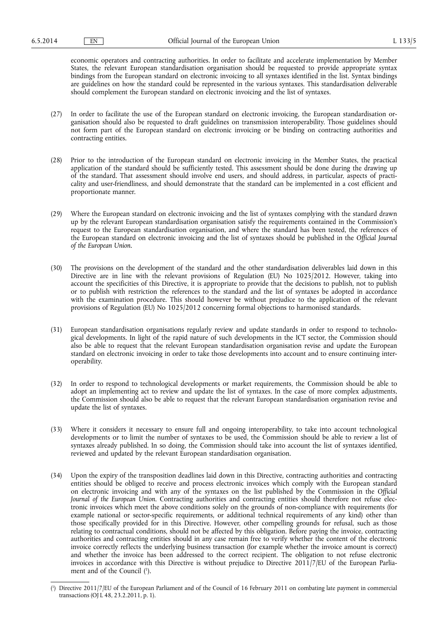economic operators and contracting authorities. In order to facilitate and accelerate implementation by Member States, the relevant European standardisation organisation should be requested to provide appropriate syntax bindings from the European standard on electronic invoicing to all syntaxes identified in the list. Syntax bindings are guidelines on how the standard could be represented in the various syntaxes. This standardisation deliverable should complement the European standard on electronic invoicing and the list of syntaxes.

- (27) In order to facilitate the use of the European standard on electronic invoicing, the European standardisation organisation should also be requested to draft guidelines on transmission interoperability. Those guidelines should not form part of the European standard on electronic invoicing or be binding on contracting authorities and contracting entities.
- (28) Prior to the introduction of the European standard on electronic invoicing in the Member States, the practical application of the standard should be sufficiently tested. This assessment should be done during the drawing up of the standard. That assessment should involve end users, and should address, in particular, aspects of practicality and user-friendliness, and should demonstrate that the standard can be implemented in a cost efficient and proportionate manner.
- (29) Where the European standard on electronic invoicing and the list of syntaxes complying with the standard drawn up by the relevant European standardisation organisation satisfy the requirements contained in the Commission's request to the European standardisation organisation, and where the standard has been tested, the references of the European standard on electronic invoicing and the list of syntaxes should be published in the *Official Journal of the European Union*.
- (30) The provisions on the development of the standard and the other standardisation deliverables laid down in this Directive are in line with the relevant provisions of Regulation (EU) No 1025/2012. However, taking into account the specificities of this Directive, it is appropriate to provide that the decisions to publish, not to publish or to publish with restriction the references to the standard and the list of syntaxes be adopted in accordance with the examination procedure. This should however be without prejudice to the application of the relevant provisions of Regulation (EU) No 1025/2012 concerning formal objections to harmonised standards.
- (31) European standardisation organisations regularly review and update standards in order to respond to technological developments. In light of the rapid nature of such developments in the ICT sector, the Commission should also be able to request that the relevant European standardisation organisation revise and update the European standard on electronic invoicing in order to take those developments into account and to ensure continuing interoperability.
- (32) In order to respond to technological developments or market requirements, the Commission should be able to adopt an implementing act to review and update the list of syntaxes. In the case of more complex adjustments, the Commission should also be able to request that the relevant European standardisation organisation revise and update the list of syntaxes.
- (33) Where it considers it necessary to ensure full and ongoing interoperability, to take into account technological developments or to limit the number of syntaxes to be used, the Commission should be able to review a list of syntaxes already published. In so doing, the Commission should take into account the list of syntaxes identified, reviewed and updated by the relevant European standardisation organisation.
- (34) Upon the expiry of the transposition deadlines laid down in this Directive, contracting authorities and contracting entities should be obliged to receive and process electronic invoices which comply with the European standard on electronic invoicing and with any of the syntaxes on the list published by the Commission in the *Official Journal of the European Union*. Contracting authorities and contracting entities should therefore not refuse electronic invoices which meet the above conditions solely on the grounds of non-compliance with requirements (for example national or sector-specific requirements, or additional technical requirements of any kind) other than those specifically provided for in this Directive. However, other compelling grounds for refusal, such as those relating to contractual conditions, should not be affected by this obligation. Before paying the invoice, contracting authorities and contracting entities should in any case remain free to verify whether the content of the electronic invoice correctly reflects the underlying business transaction (for example whether the invoice amount is correct) and whether the invoice has been addressed to the correct recipient. The obligation to not refuse electronic invoices in accordance with this Directive is without prejudice to Directive 2011/7/EU of the European Parliament and of the Council ( 1 ).

<sup>(</sup> 1 ) Directive 2011/7/EU of the European Parliament and of the Council of 16 February 2011 on combating late payment in commercial transactions (OJ L 48, 23.2.2011, p. 1).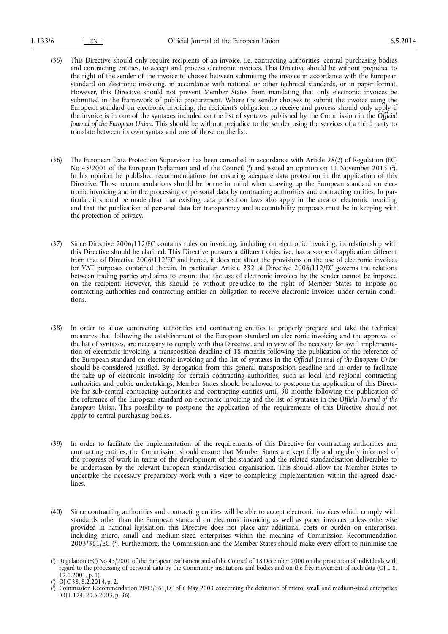- (35) This Directive should only require recipients of an invoice, i.e. contracting authorities, central purchasing bodies and contracting entities, to accept and process electronic invoices. This Directive should be without prejudice to the right of the sender of the invoice to choose between submitting the invoice in accordance with the European standard on electronic invoicing, in accordance with national or other technical standards, or in paper format. However, this Directive should not prevent Member States from mandating that only electronic invoices be submitted in the framework of public procurement. Where the sender chooses to submit the invoice using the European standard on electronic invoicing, the recipient's obligation to receive and process should only apply if the invoice is in one of the syntaxes included on the list of syntaxes published by the Commission in the *Official Journal of the European Union*. This should be without prejudice to the sender using the services of a third party to translate between its own syntax and one of those on the list.
- (36) The European Data Protection Supervisor has been consulted in accordance with Article 28(2) of Regulation (EC) No 45/2001 of the European Parliament and of the Council (<sup>1</sup>) and issued an opinion on 11 November 2013 (<sup>2</sup>). In his opinion he published recommendations for ensuring adequate data protection in the application of this Directive. Those recommendations should be borne in mind when drawing up the European standard on electronic invoicing and in the processing of personal data by contracting authorities and contracting entities. In particular, it should be made clear that existing data protection laws also apply in the area of electronic invoicing and that the publication of personal data for transparency and accountability purposes must be in keeping with the protection of privacy.
- (37) Since Directive 2006/112/EC contains rules on invoicing, including on electronic invoicing, its relationship with this Directive should be clarified. This Directive pursues a different objective, has a scope of application different from that of Directive 2006/112/EC and hence, it does not affect the provisions on the use of electronic invoices for VAT purposes contained therein. In particular, Article 232 of Directive 2006/112/EC governs the relations between trading parties and aims to ensure that the use of electronic invoices by the sender cannot be imposed on the recipient. However, this should be without prejudice to the right of Member States to impose on contracting authorities and contracting entities an obligation to receive electronic invoices under certain conditions.
- (38) In order to allow contracting authorities and contracting entities to properly prepare and take the technical measures that, following the establishment of the European standard on electronic invoicing and the approval of the list of syntaxes, are necessary to comply with this Directive, and in view of the necessity for swift implementation of electronic invoicing, a transposition deadline of 18 months following the publication of the reference of the European standard on electronic invoicing and the list of syntaxes in the *Official Journal of the European Union*  should be considered justified. By derogation from this general transposition deadline and in order to facilitate the take up of electronic invoicing for certain contracting authorities, such as local and regional contracting authorities and public undertakings, Member States should be allowed to postpone the application of this Directive for sub-central contracting authorities and contracting entities until 30 months following the publication of the reference of the European standard on electronic invoicing and the list of syntaxes in the *Official Journal of the European Union*. This possibility to postpone the application of the requirements of this Directive should not apply to central purchasing bodies.
- (39) In order to facilitate the implementation of the requirements of this Directive for contracting authorities and contracting entities, the Commission should ensure that Member States are kept fully and regularly informed of the progress of work in terms of the development of the standard and the related standardisation deliverables to be undertaken by the relevant European standardisation organisation. This should allow the Member States to undertake the necessary preparatory work with a view to completing implementation within the agreed deadlines.
- (40) Since contracting authorities and contracting entities will be able to accept electronic invoices which comply with standards other than the European standard on electronic invoicing as well as paper invoices unless otherwise provided in national legislation, this Directive does not place any additional costs or burden on enterprises, including micro, small and medium-sized enterprises within the meaning of Commission Recommendation 2003/361/EC ( 3 ). Furthermore, the Commission and the Member States should make every effort to minimise the

<sup>(</sup> 1 ) Regulation (EC) No 45/2001 of the European Parliament and of the Council of 18 December 2000 on the protection of individuals with regard to the processing of personal data by the Community institutions and bodies and on the free movement of such data (OJ L 8, 12.1.2001, p. 1).

<sup>(</sup> 2 ) OJ C 38, 8.2.2014, p. 2.

<sup>(</sup> 3 ) Commission Recommendation 2003/361/EC of 6 May 2003 concerning the definition of micro, small and medium-sized enterprises (OJ L 124, 20.5.2003, p. 36).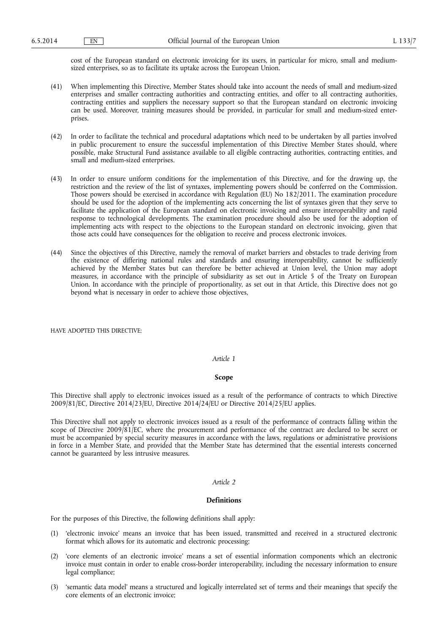cost of the European standard on electronic invoicing for its users, in particular for micro, small and mediumsized enterprises, so as to facilitate its uptake across the European Union.

- (41) When implementing this Directive, Member States should take into account the needs of small and medium-sized enterprises and smaller contracting authorities and contracting entities, and offer to all contracting authorities, contracting entities and suppliers the necessary support so that the European standard on electronic invoicing can be used. Moreover, training measures should be provided, in particular for small and medium-sized enterprises.
- (42) In order to facilitate the technical and procedural adaptations which need to be undertaken by all parties involved in public procurement to ensure the successful implementation of this Directive Member States should, where possible, make Structural Fund assistance available to all eligible contracting authorities, contracting entities, and small and medium-sized enterprises.
- (43) In order to ensure uniform conditions for the implementation of this Directive, and for the drawing up, the restriction and the review of the list of syntaxes, implementing powers should be conferred on the Commission. Those powers should be exercised in accordance with Regulation (EU) No 182/2011. The examination procedure should be used for the adoption of the implementing acts concerning the list of syntaxes given that they serve to facilitate the application of the European standard on electronic invoicing and ensure interoperability and rapid response to technological developments. The examination procedure should also be used for the adoption of implementing acts with respect to the objections to the European standard on electronic invoicing, given that those acts could have consequences for the obligation to receive and process electronic invoices.
- (44) Since the objectives of this Directive, namely the removal of market barriers and obstacles to trade deriving from the existence of differing national rules and standards and ensuring interoperability, cannot be sufficiently achieved by the Member States but can therefore be better achieved at Union level, the Union may adopt measures, in accordance with the principle of subsidiarity as set out in Article 5 of the Treaty on European Union. In accordance with the principle of proportionality, as set out in that Article, this Directive does not go beyond what is necessary in order to achieve those objectives,

HAVE ADOPTED THIS DIRECTIVE:

### *Article 1*

#### **Scope**

This Directive shall apply to electronic invoices issued as a result of the performance of contracts to which Directive 2009/81/EC, Directive 2014/23/EU, Directive 2014/24/EU or Directive 2014/25/EU applies.

This Directive shall not apply to electronic invoices issued as a result of the performance of contracts falling within the scope of Directive 2009/81/EC, where the procurement and performance of the contract are declared to be secret or must be accompanied by special security measures in accordance with the laws, regulations or administrative provisions in force in a Member State, and provided that the Member State has determined that the essential interests concerned cannot be guaranteed by less intrusive measures.

# *Article 2*

#### **Definitions**

For the purposes of this Directive, the following definitions shall apply:

- (1) 'electronic invoice' means an invoice that has been issued, transmitted and received in a structured electronic format which allows for its automatic and electronic processing;
- (2) 'core elements of an electronic invoice' means a set of essential information components which an electronic invoice must contain in order to enable cross-border interoperability, including the necessary information to ensure legal compliance;
- (3) 'semantic data model' means a structured and logically interrelated set of terms and their meanings that specify the core elements of an electronic invoice;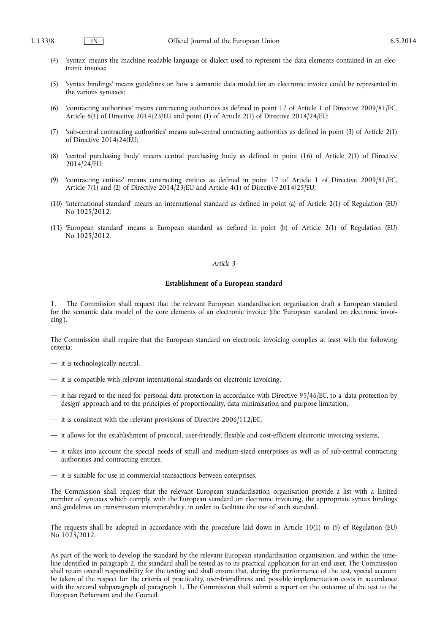- (4) 'syntax' means the machine readable language or dialect used to represent the data elements contained in an electronic invoice;
- (5) 'syntax bindings' means guidelines on how a semantic data model for an electronic invoice could be represented in the various syntaxes;
- (6) 'contracting authorities' means contracting authorities as defined in point 17 of Article 1 of Directive 2009/81/EC, Article 6(1) of Directive 2014/23/EU and point (1) of Article 2(1) of Directive 2014/24/EU;
- (7) 'sub-central contracting authorities' means sub-central contracting authorities as defined in point (3) of Article 2(1) of Directive 2014/24/EU;
- (8) 'central purchasing body' means central purchasing body as defined in point (16) of Article 2(1) of Directive  $2014/24$ /EU;
- (9) 'contracting entities' means contracting entities as defined in point 17 of Article 1 of Directive 2009/81/EC, Article 7(1) and (2) of Directive 2014/23/EU and Article 4(1) of Directive 2014/25/EU;
- (10) 'international standard' means an international standard as defined in point (a) of Article 2(1) of Regulation (EU) No 1025/2012;
- (11) 'European standard' means a European standard as defined in point (b) of Article 2(1) of Regulation (EU) No 1025/2012.

### *Article 3*

# **Establishment of a European standard**

1. The Commission shall request that the relevant European standardisation organisation draft a European standard for the semantic data model of the core elements of an electronic invoice (the 'European standard on electronic invoicing').

The Commission shall require that the European standard on electronic invoicing complies at least with the following criteria:

- it is technologically neutral,
- it is compatible with relevant international standards on electronic invoicing,
- it has regard to the need for personal data protection in accordance with Directive 95/46/EC, to a 'data protection by design' approach and to the principles of proportionality, data minimisation and purpose limitation,
- it is consistent with the relevant provisions of Directive 2006/112/EC,
- it allows for the establishment of practical, user-friendly, flexible and cost-efficient electronic invoicing systems,
- it takes into account the special needs of small and medium-sized enterprises as well as of sub-central contracting authorities and contracting entities,
- it is suitable for use in commercial transactions between enterprises.

The Commission shall request that the relevant European standardisation organisation provide a list with a limited number of syntaxes which comply with the European standard on electronic invoicing, the appropriate syntax bindings and guidelines on transmission interoperability, in order to facilitate the use of such standard.

The requests shall be adopted in accordance with the procedure laid down in Article 10(1) to (5) of Regulation (EU) No 1025/2012.

As part of the work to develop the standard by the relevant European standardisation organisation, and within the timeline identified in paragraph 2, the standard shall be tested as to its practical application for an end user. The Commission shall retain overall responsibility for the testing and shall ensure that, during the performance of the test, special account be taken of the respect for the criteria of practicality, user-friendliness and possible implementation costs in accordance with the second subparagraph of paragraph 1. The Commission shall submit a report on the outcome of the test to the European Parliament and the Council.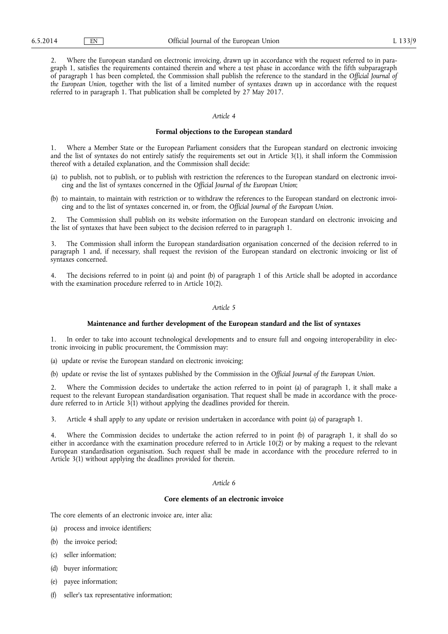2. Where the European standard on electronic invoicing, drawn up in accordance with the request referred to in paragraph 1, satisfies the requirements contained therein and where a test phase in accordance with the fifth subparagraph of paragraph 1 has been completed, the Commission shall publish the reference to the standard in the *Official Journal of the European Union*, together with the list of a limited number of syntaxes drawn up in accordance with the request referred to in paragraph 1. That publication shall be completed by 27 May 2017.

#### *Article 4*

### **Formal objections to the European standard**

1. Where a Member State or the European Parliament considers that the European standard on electronic invoicing and the list of syntaxes do not entirely satisfy the requirements set out in Article 3(1), it shall inform the Commission thereof with a detailed explanation, and the Commission shall decide:

- (a) to publish, not to publish, or to publish with restriction the references to the European standard on electronic invoicing and the list of syntaxes concerned in the *Official Journal of the European Union*;
- (b) to maintain, to maintain with restriction or to withdraw the references to the European standard on electronic invoicing and to the list of syntaxes concerned in, or from, the *Official Journal of the European Union*.

2. The Commission shall publish on its website information on the European standard on electronic invoicing and the list of syntaxes that have been subject to the decision referred to in paragraph 1.

The Commission shall inform the European standardisation organisation concerned of the decision referred to in paragraph 1 and, if necessary, shall request the revision of the European standard on electronic invoicing or list of syntaxes concerned.

4. The decisions referred to in point (a) and point (b) of paragraph 1 of this Article shall be adopted in accordance with the examination procedure referred to in Article 10(2).

#### *Article 5*

### **Maintenance and further development of the European standard and the list of syntaxes**

1. In order to take into account technological developments and to ensure full and ongoing interoperability in electronic invoicing in public procurement, the Commission may:

(a) update or revise the European standard on electronic invoicing;

(b) update or revise the list of syntaxes published by the Commission in the *Official Journal of the European Union*.

2. Where the Commission decides to undertake the action referred to in point (a) of paragraph 1, it shall make a request to the relevant European standardisation organisation. That request shall be made in accordance with the procedure referred to in Article  $3(1)$  without applying the deadlines provided for therein.

3. Article 4 shall apply to any update or revision undertaken in accordance with point (a) of paragraph 1.

4. Where the Commission decides to undertake the action referred to in point (b) of paragraph 1, it shall do so either in accordance with the examination procedure referred to in Article  $10(2)$  or by making a request to the relevant European standardisation organisation. Such request shall be made in accordance with the procedure referred to in Article 3(1) without applying the deadlines provided for therein.

# *Article 6*

# **Core elements of an electronic invoice**

The core elements of an electronic invoice are, inter alia:

- (a) process and invoice identifiers;
- (b) the invoice period;
- (c) seller information;
- (d) buyer information;
- (e) payee information;
- (f) seller's tax representative information;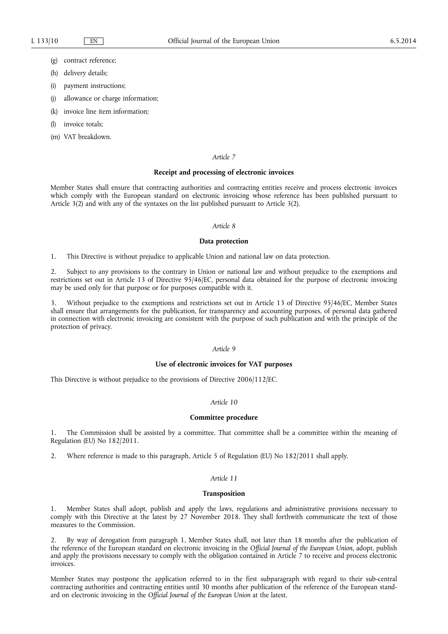- (g) contract reference;
- (h) delivery details;
- (i) payment instructions;
- (j) allowance or charge information;
- (k) invoice line item information;
- invoice totals:
- (m) VAT breakdown.

#### *Article 7*

#### **Receipt and processing of electronic invoices**

Member States shall ensure that contracting authorities and contracting entities receive and process electronic invoices which comply with the European standard on electronic invoicing whose reference has been published pursuant to Article 3(2) and with any of the syntaxes on the list published pursuant to Article 3(2).

# *Article 8*

#### **Data protection**

1. This Directive is without prejudice to applicable Union and national law on data protection.

2. Subject to any provisions to the contrary in Union or national law and without prejudice to the exemptions and restrictions set out in Article 13 of Directive 95/46/EC, personal data obtained for the purpose of electronic invoicing may be used only for that purpose or for purposes compatible with it.

3. Without prejudice to the exemptions and restrictions set out in Article 13 of Directive 95/46/EC, Member States shall ensure that arrangements for the publication, for transparency and accounting purposes, of personal data gathered in connection with electronic invoicing are consistent with the purpose of such publication and with the principle of the protection of privacy.

# *Article 9*

#### **Use of electronic invoices for VAT purposes**

This Directive is without prejudice to the provisions of Directive 2006/112/EC.

#### *Article 10*

#### **Committee procedure**

1. The Commission shall be assisted by a committee. That committee shall be a committee within the meaning of Regulation (EU) No 182/2011.

2. Where reference is made to this paragraph, Article 5 of Regulation (EU) No 182/2011 shall apply.

# *Article 11*

#### **Transposition**

1. Member States shall adopt, publish and apply the laws, regulations and administrative provisions necessary to comply with this Directive at the latest by 27 November 2018. They shall forthwith communicate the text of those measures to the Commission.

2. By way of derogation from paragraph 1, Member States shall, not later than 18 months after the publication of the reference of the European standard on electronic invoicing in the *Official Journal of the European Union*, adopt, publish and apply the provisions necessary to comply with the obligation contained in Article 7 to receive and process electronic invoices.

Member States may postpone the application referred to in the first subparagraph with regard to their sub-central contracting authorities and contracting entities until 30 months after publication of the reference of the European standard on electronic invoicing in the *Official Journal of the European Union* at the latest.